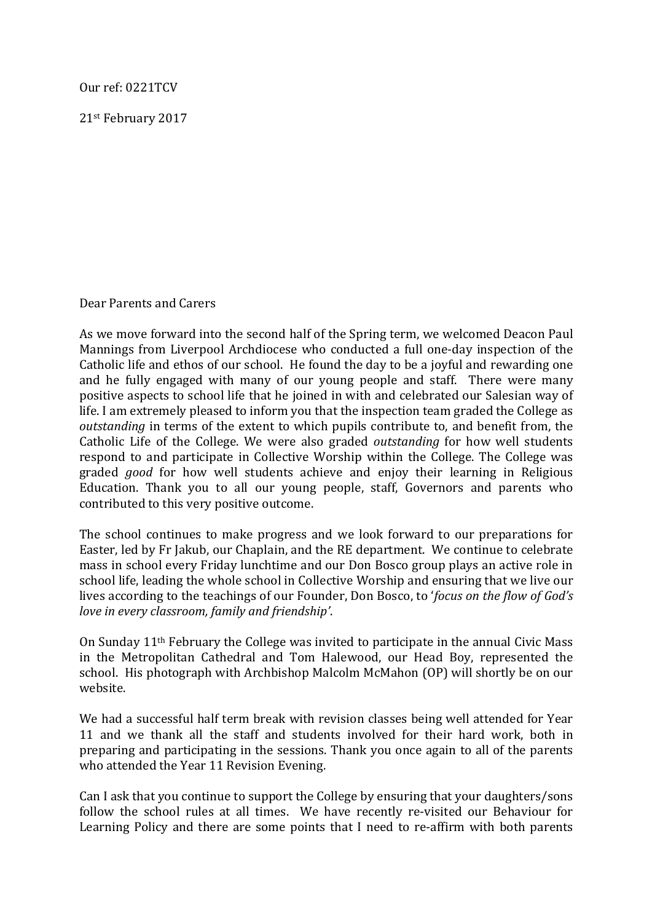Our ref: 0221TCV

21st February 2017

Dear Parents and Carers

As we move forward into the second half of the Spring term, we welcomed Deacon Paul Mannings from Liverpool Archdiocese who conducted a full one-day inspection of the Catholic life and ethos of our school. He found the day to be a joyful and rewarding one and he fully engaged with many of our young people and staff. There were many positive aspects to school life that he joined in with and celebrated our Salesian way of life. I am extremely pleased to inform you that the inspection team graded the College as *outstanding* in terms of the extent to which pupils contribute to, and benefit from, the Catholic Life of the College. We were also graded *outstanding* for how well students respond to and participate in Collective Worship within the College. The College was graded *good* for how well students achieve and enjoy their learning in Religious Education. Thank you to all our young people, staff, Governors and parents who contributed to this very positive outcome.

The school continues to make progress and we look forward to our preparations for Easter, led by Fr Jakub, our Chaplain, and the RE department. We continue to celebrate mass in school every Friday lunchtime and our Don Bosco group plays an active role in school life, leading the whole school in Collective Worship and ensuring that we live our lives according to the teachings of our Founder, Don Bosco, to '*focus on the flow of God's love in every classroom, family and friendship'.* 

On Sunday  $11<sup>th</sup>$  February the College was invited to participate in the annual Civic Mass in the Metropolitan Cathedral and Tom Halewood, our Head Boy, represented the school. His photograph with Archbishop Malcolm McMahon (OP) will shortly be on our website. 

We had a successful half term break with revision classes being well attended for Year 11 and we thank all the staff and students involved for their hard work, both in preparing and participating in the sessions. Thank you once again to all of the parents who attended the Year 11 Revision Evening.

Can I ask that you continue to support the College by ensuring that your daughters/sons follow the school rules at all times. We have recently re-visited our Behaviour for Learning Policy and there are some points that I need to re-affirm with both parents